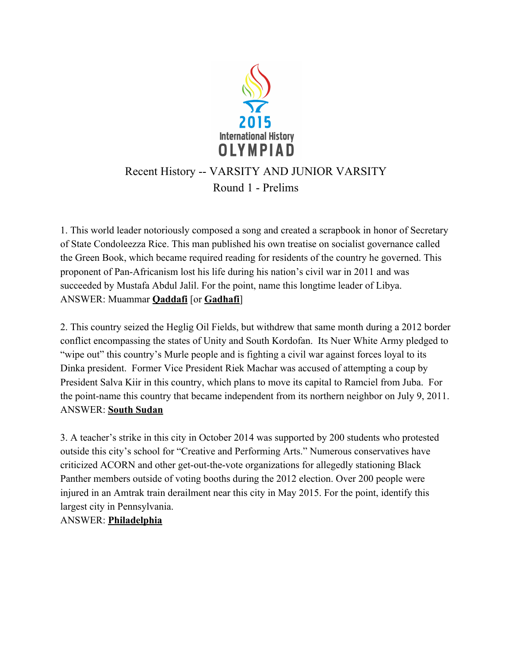

# Recent History -- VARSITY AND JUNIOR VARSITY Round 1 - Prelims

1. This world leader notoriously composed a song and created a scrapbook in honor of Secretary of State Condoleezza Rice. This man published his own treatise on socialist governance called the Green Book, which became required reading for residents of the country he governed. This proponent of Pan-Africanism lost his life during his nation's civil war in 2011 and was succeeded by Mustafa Abdul Jalil. For the point, name this longtime leader of Libya. ANSWER: Muammar **Qaddafi** [or **Gadhafi**]

2. This country seized the Heglig Oil Fields, but withdrew that same month during a 2012 border conflict encompassing the states of Unity and South Kordofan. Its Nuer White Army pledged to "wipe out" this country's Murle people and is fighting a civil war against forces loyal to its Dinka president. Former Vice President Riek Machar was accused of attempting a coup by President Salva Kiir in this country, which plans to move its capital to Ramciel from Juba. For the point-name this country that became independent from its northern neighbor on July 9, 2011. ANSWER: South Sudan

3. A teacher's strike in this city in October 2014 was supported by 200 students who protested outside this city's school for "Creative and Performing Arts." Numerous conservatives have criticized ACORN and other get-out-the-vote organizations for allegedly stationing Black Panther members outside of voting booths during the 2012 election. Over 200 people were injured in an Amtrak train derailment near this city in May 2015. For the point, identify this largest city in Pennsylvania.

ANSWER: Philadelphia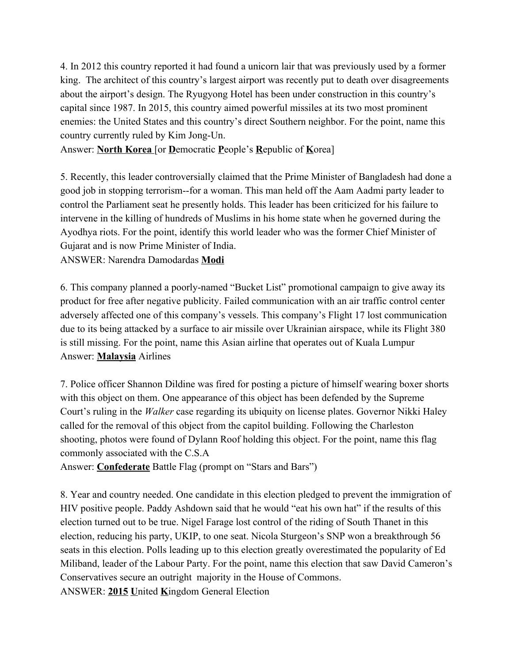4. In 2012 this country reported it had found a unicorn lair that was previously used by a former king. The architect of this country's largest airport was recently put to death over disagreements about the airport's design. The Ryugyong Hotel has been under construction in this country's capital since 1987. In 2015, this country aimed powerful missiles at its two most prominent enemies: the United States and this country's direct Southern neighbor. For the point, name this country currently ruled by Kim Jong-Un.

Answer: North Korea [or Democratic People's Republic of Korea]

5. Recently, this leader controversially claimed that the Prime Minister of Bangladesh had done a good job in stopping terrorism--for a woman. This man held off the Aam Aadmi party leader to control the Parliament seat he presently holds. This leader has been criticized for his failure to intervene in the killing of hundreds of Muslims in his home state when he governed during the Ayodhya riots. For the point, identify this world leader who was the former Chief Minister of Gujarat and is now Prime Minister of India.

ANSWER: Narendra Damodardas Modi

6. This company planned a poorly-named "Bucket List" promotional campaign to give away its product for free after negative publicity. Failed communication with an air traffic control center adversely affected one of this company's vessels. This company's Flight 17 lost communication due to its being attacked by a surface to air missile over Ukrainian airspace, while its Flight 380 is still missing. For the point, name this Asian airline that operates out of Kuala Lumpur Answer: Malaysia Airlines

7. Police officer Shannon Dildine was fired for posting a picture of himself wearing boxer shorts with this object on them. One appearance of this object has been defended by the Supreme Court's ruling in the Walker case regarding its ubiquity on license plates. Governor Nikki Haley called for the removal of this object from the capitol building. Following the Charleston shooting, photos were found of Dylann Roof holding this object. For the point, name this flag commonly associated with the C.S.A

Answer: **Confederate** Battle Flag (prompt on "Stars and Bars")

8. Year and country needed. One candidate in this election pledged to prevent the immigration of HIV positive people. Paddy Ashdown said that he would "eat his own hat" if the results of this election turned out to be true. Nigel Farage lost control of the riding of South Thanet in this election, reducing his party, UKIP, to one seat. Nicola Sturgeon's SNP won a breakthrough 56 seats in this election. Polls leading up to this election greatly overestimated the popularity of Ed Miliband, leader of the Labour Party. For the point, name this election that saw David Cameron's Conservatives secure an outright majority in the House of Commons. ANSWER: 2015 United Kingdom General Election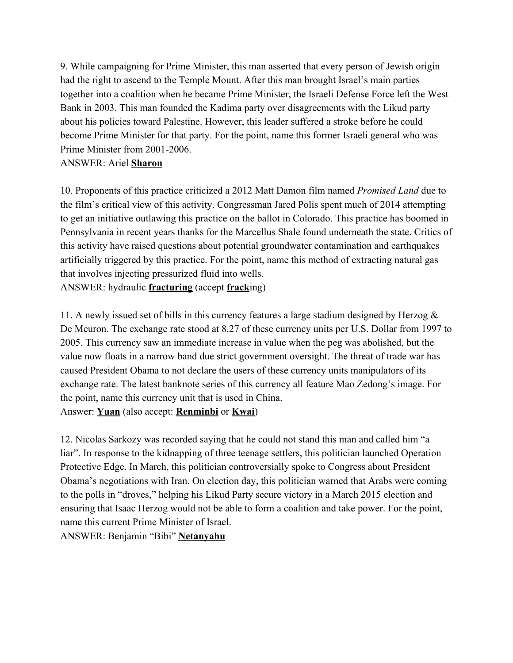9. While campaigning for Prime Minister, this man asserted that every person of Jewish origin had the right to ascend to the Temple Mount. After this man brought Israel's main parties together into a coalition when he became Prime Minister, the Israeli Defense Force left the West Bank in 2003. This man founded the Kadima party over disagreements with the Likud party about his policies toward Palestine. However, this leader suffered a stroke before he could become Prime Minister for that party. For the point, name this former Israeli general who was Prime Minister from 2001-2006.

#### ANSWER: Ariel Sharon

10. Proponents of this practice criticized a 2012 Matt Damon film named Promised Land due to the film's critical view of this activity. Congressman Jared Polis spent much of 2014 attempting to get an initiative outlawing this practice on the ballot in Colorado. This practice has boomed in Pennsylvania in recent years thanks for the Marcellus Shale found underneath the state. Critics of this activity have raised questions about potential groundwater contamination and earthquakes artificially triggered by this practice. For the point, name this method of extracting natural gas that involves injecting pressurized fluid into wells. ANSWER: hydraulic **fracturing** (accept **frack**ing)

11. A newly issued set of bills in this currency features a large stadium designed by Herzog  $\&$ De Meuron. The exchange rate stood at 8.27 of these currency units per U.S. Dollar from 1997 to 2005. This currency saw an immediate increase in value when the peg was abolished, but the value now floats in a narrow band due strict government oversight. The threat of trade war has caused President Obama to not declare the users of these currency units manipulators of its exchange rate. The latest banknote series of this currency all feature Mao Zedong's image. For the point, name this currency unit that is used in China. Answer: **Yuan** (also accept: **Renminbi** or **Kwai**)

12. Nicolas Sarkozy was recorded saying that he could not stand this man and called him "a liar". In response to the kidnapping of three teenage settlers, this politician launched Operation Protective Edge. In March, this politician controversially spoke to Congress about President Obama's negotiations with Iran. On election day, this politician warned that Arabs were coming to the polls in "droves," helping his Likud Party secure victory in a March 2015 election and ensuring that Isaac Herzog would not be able to form a coalition and take power. For the point, name this current Prime Minister of Israel.

ANSWER: Benjamin "Bibi" Netanyahu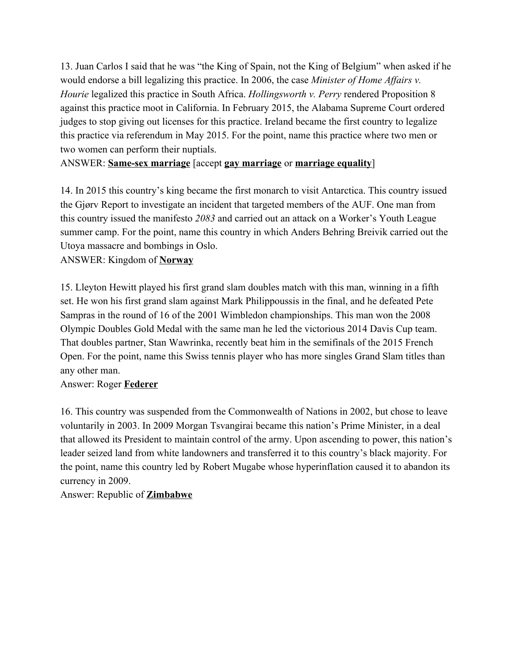13. Juan Carlos I said that he was "the King of Spain, not the King of Belgium" when asked if he would endorse a bill legalizing this practice. In 2006, the case *Minister of Home Affairs v*. Hourie legalized this practice in South Africa. Hollingsworth v. Perry rendered Proposition 8 against this practice moot in California. In February 2015, the Alabama Supreme Court ordered judges to stop giving out licenses for this practice. Ireland became the first country to legalize this practice via referendum in May 2015. For the point, name this practice where two men or two women can perform their nuptials.

ANSWER: Same-sex marriage [accept gay marriage or marriage equality]

14. In 2015 this country's king became the first monarch to visit Antarctica. This country issued the Gjørv Report to investigate an incident that targeted members of the AUF. One man from this country issued the manifesto 2083 and carried out an attack on a Worker's Youth League summer camp. For the point, name this country in which Anders Behring Breivik carried out the Utoya massacre and bombings in Oslo.

ANSWER: Kingdom of Norway

15. Lleyton Hewitt played his first grand slam doubles match with this man, winning in a fifth set. He won his first grand slam against Mark Philippoussis in the final, and he defeated Pete Sampras in the round of 16 of the 2001 Wimbledon championships. This man won the 2008 Olympic Doubles Gold Medal with the same man he led the victorious 2014 Davis Cup team. That doubles partner, Stan Wawrinka, recently beat him in the semifinals of the 2015 French Open. For the point, name this Swiss tennis player who has more singles Grand Slam titles than any other man.

#### Answer: Roger Federer

16. This country was suspended from the Commonwealth of Nations in 2002, but chose to leave voluntarily in 2003. In 2009 Morgan Tsvangirai became this nation's Prime Minister, in a deal that allowed its President to maintain control of the army. Upon ascending to power, this nation's leader seized land from white landowners and transferred it to this country's black majority. For the point, name this country led by Robert Mugabe whose hyperinflation caused it to abandon its currency in 2009.

Answer: Republic of Zimbabwe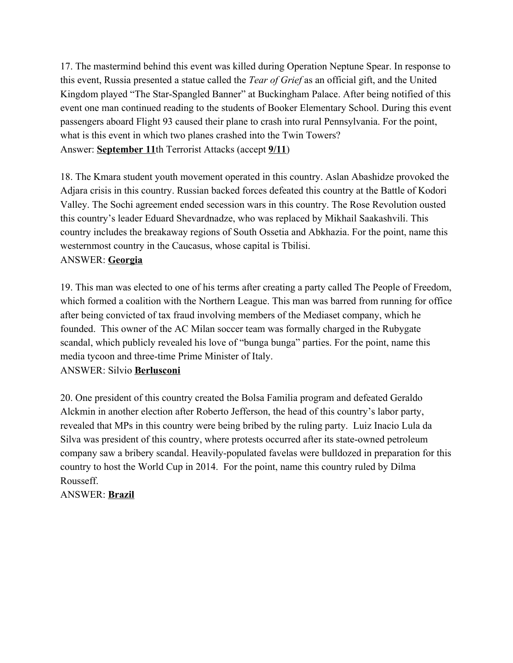17. The mastermind behind this event was killed during Operation Neptune Spear. In response to this event, Russia presented a statue called the *Tear of Grief* as an official gift, and the United Kingdom played "The Star-Spangled Banner" at Buckingham Palace. After being notified of this event one man continued reading to the students of Booker Elementary School. During this event passengers aboard Flight 93 caused their plane to crash into rural Pennsylvania. For the point, what is this event in which two planes crashed into the Twin Towers? Answer: September 11th Terrorist Attacks (accept 9/11)

18. The Kmara student youth movement operated in this country. Aslan Abashidze provoked the Adjara crisis in this country. Russian backed forces defeated this country at the Battle of Kodori Valley. The Sochi agreement ended secession wars in this country. The Rose Revolution ousted this country's leader Eduard Shevardnadze, who was replaced by Mikhail Saakashvili. This country includes the breakaway regions of South Ossetia and Abkhazia. For the point, name this westernmost country in the Caucasus, whose capital is Tbilisi. ANSWER: Georgia

19. This man was elected to one of his terms after creating a party called The People of Freedom, which formed a coalition with the Northern League. This man was barred from running for office after being convicted of tax fraud involving members of the Mediaset company, which he founded. This owner of the AC Milan soccer team was formally charged in the Rubygate scandal, which publicly revealed his love of "bunga bunga" parties. For the point, name this media tycoon and three-time Prime Minister of Italy.

## ANSWER: Silvio Berlusconi

20. One president of this country created the Bolsa Familia program and defeated Geraldo Alckmin in another election after Roberto Jefferson, the head of this country's labor party, revealed that MPs in this country were being bribed by the ruling party. Luiz Inacio Lula da Silva was president of this country, where protests occurred after its state-owned petroleum company saw a bribery scandal. Heavily-populated favelas were bulldozed in preparation for this country to host the World Cup in 2014. For the point, name this country ruled by Dilma Rousseff.

ANSWER: Brazil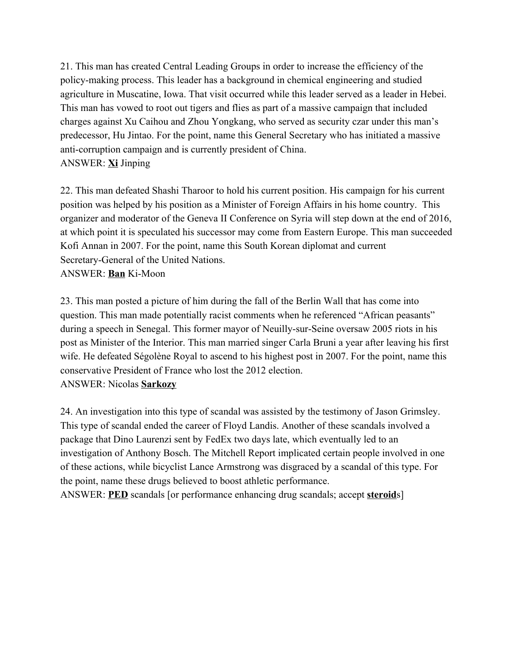21. This man has created Central Leading Groups in order to increase the efficiency of the policy-making process. This leader has a background in chemical engineering and studied agriculture in Muscatine, Iowa. That visit occurred while this leader served as a leader in Hebei. This man has vowed to root out tigers and flies as part of a massive campaign that included charges against Xu Caihou and Zhou Yongkang, who served as security czar under this man's predecessor, Hu Jintao. For the point, name this General Secretary who has initiated a massive anti-corruption campaign and is currently president of China. ANSWER: Xi Jinping

22. This man defeated Shashi Tharoor to hold his current position. His campaign for his current position was helped by his position as a Minister of Foreign Affairs in his home country. This organizer and moderator of the Geneva II Conference on Syria will step down at the end of 2016, at which point it is speculated his successor may come from Eastern Europe. This man succeeded Kofi Annan in 2007. For the point, name this South Korean diplomat and current Secretary-General of the United Nations. ANSWER: Ban Ki-Moon

23. This man posted a picture of him during the fall of the Berlin Wall that has come into question. This man made potentially racist comments when he referenced "African peasants" during a speech in Senegal. This former mayor of Neuilly-sur-Seine oversaw 2005 riots in his post as Minister of the Interior. This man married singer Carla Bruni a year after leaving his first wife. He defeated Ségolène Royal to ascend to his highest post in 2007. For the point, name this conservative President of France who lost the 2012 election. ANSWER: Nicolas Sarkozy

24. An investigation into this type of scandal was assisted by the testimony of Jason Grimsley. This type of scandal ended the career of Floyd Landis. Another of these scandals involved a package that Dino Laurenzi sent by FedEx two days late, which eventually led to an investigation of Anthony Bosch. The Mitchell Report implicated certain people involved in one of these actions, while bicyclist Lance Armstrong was disgraced by a scandal of this type. For the point, name these drugs believed to boost athletic performance. ANSWER: **PED** scandals [or performance enhancing drug scandals; accept **steroid**s]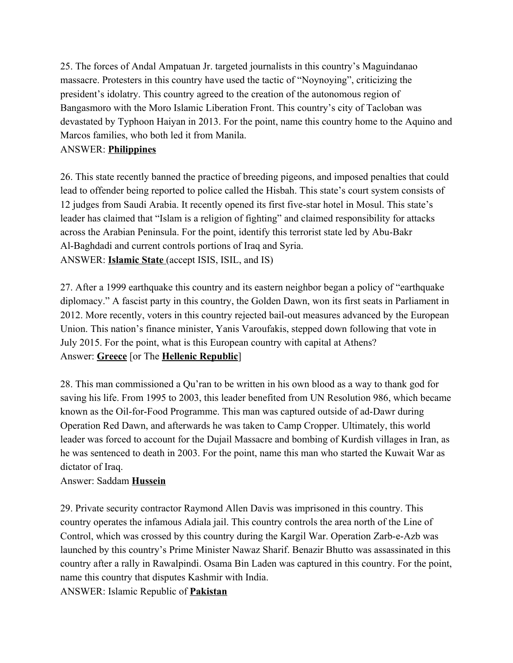25. The forces of Andal Ampatuan Jr. targeted journalists in this country's Maguindanao massacre. Protesters in this country have used the tactic of "Noynoying", criticizing the president's idolatry. This country agreed to the creation of the autonomous region of Bangasmoro with the Moro Islamic Liberation Front. This country's city of Tacloban was devastated by Typhoon Haiyan in 2013. For the point, name this country home to the Aquino and Marcos families, who both led it from Manila.

# ANSWER: Philippines

26. This state recently banned the practice of breeding pigeons, and imposed penalties that could lead to offender being reported to police called the Hisbah. This state's court system consists of 12 judges from Saudi Arabia. It recently opened its first fivestar hotel in Mosul. This state's leader has claimed that "Islam is a religion of fighting" and claimed responsibility for attacks across the Arabian Peninsula. For the point, identify this terrorist state led by Abu-Bakr Al-Baghdadi and current controls portions of Iraq and Syria. ANSWER: Islamic State (accept ISIS, ISIL, and IS)

27. After a 1999 earthquake this country and its eastern neighbor began a policy of "earthquake diplomacy." A fascist party in this country, the Golden Dawn, won its first seats in Parliament in 2012. More recently, voters in this country rejected bail-out measures advanced by the European Union. This nation's finance minister, Yanis Varoufakis, stepped down following that vote in July 2015. For the point, what is this European country with capital at Athens? Answer: Greece [or The Hellenic Republic]

28. This man commissioned a Qu'ran to be written in his own blood as a way to thank god for saving his life. From 1995 to 2003, this leader benefited from UN Resolution 986, which became known as the Oil-for-Food Programme. This man was captured outside of ad-Dawr during Operation Red Dawn, and afterwards he was taken to Camp Cropper. Ultimately, this world leader was forced to account for the Dujail Massacre and bombing of Kurdish villages in Iran, as he was sentenced to death in 2003. For the point, name this man who started the Kuwait War as dictator of Iraq.

## Answer: Saddam Hussein

29. Private security contractor Raymond Allen Davis was imprisoned in this country. This country operates the infamous Adiala jail. This country controls the area north of the Line of Control, which was crossed by this country during the Kargil War. Operation Zarb-e-Azb was launched by this country's Prime Minister Nawaz Sharif. Benazir Bhutto was assassinated in this country after a rally in Rawalpindi. Osama Bin Laden was captured in this country. For the point, name this country that disputes Kashmir with India. ANSWER: Islamic Republic of Pakistan